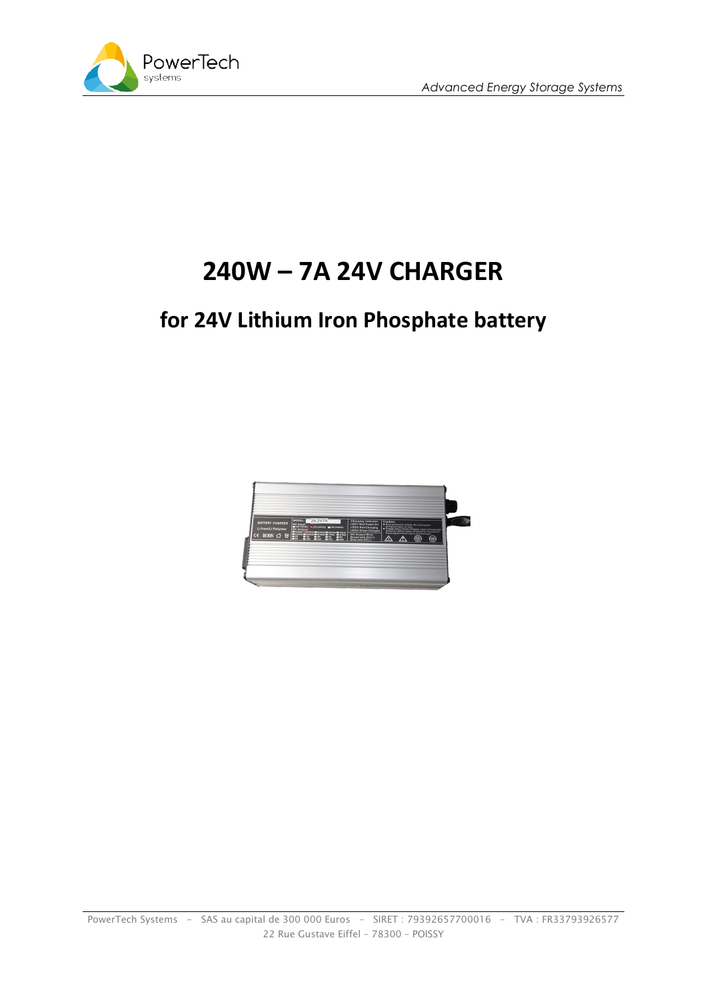



## **240W – 7A 24V CHARGER**

## **for 24V Lithium Iron Phosphate battery**

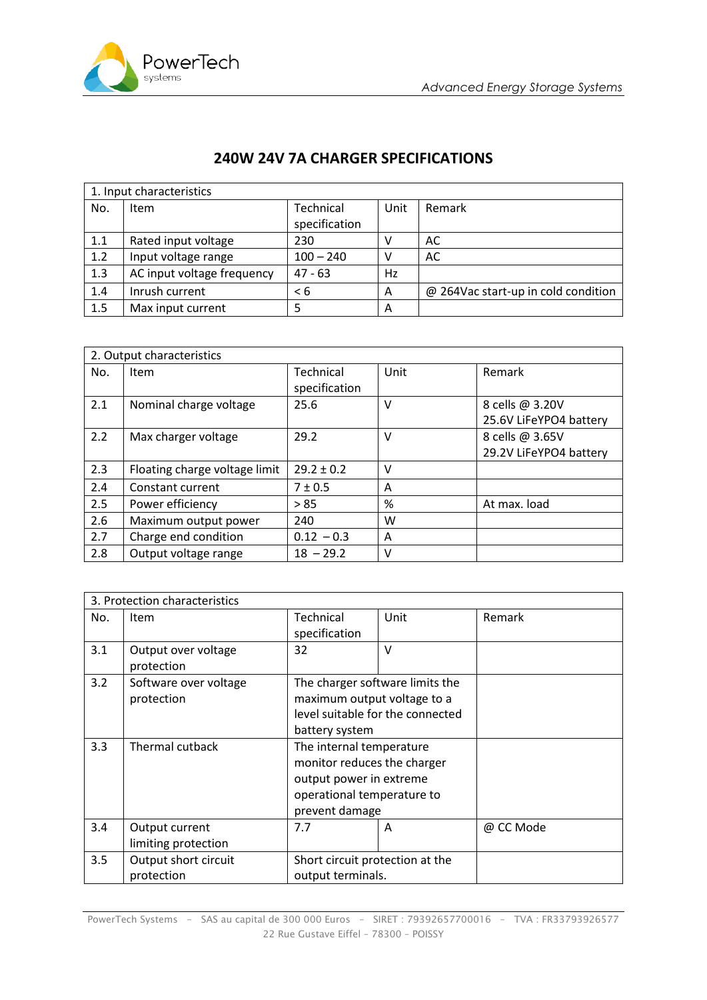

## **240W 24V 7A CHARGER SPECIFICATIONS**

| 1. Input characteristics |                            |               |      |                                     |  |
|--------------------------|----------------------------|---------------|------|-------------------------------------|--|
| No.                      | Item                       | Technical     | Unit | Remark                              |  |
|                          |                            | specification |      |                                     |  |
| 1.1                      | Rated input voltage        | 230           | ν    | AC                                  |  |
| 1.2                      | Input voltage range        | $100 - 240$   |      | AC                                  |  |
| 1.3                      | AC input voltage frequency | $47 - 63$     | Hz   |                                     |  |
| 1.4                      | Inrush current             | < 6           | A    | @ 264Vac start-up in cold condition |  |
| 1.5                      | Max input current          |               | A    |                                     |  |

| 2. Output characteristics |                               |                |      |                        |
|---------------------------|-------------------------------|----------------|------|------------------------|
| No.                       | Item                          | Technical      | Unit | Remark                 |
|                           |                               | specification  |      |                        |
| 2.1                       | Nominal charge voltage        | 25.6           | v    | 8 cells @ 3.20V        |
|                           |                               |                |      | 25.6V LiFeYPO4 battery |
| 2.2                       | Max charger voltage           | 29.2           | v    | 8 cells @ 3.65V        |
|                           |                               |                |      | 29.2V LiFeYPO4 battery |
| 2.3                       | Floating charge voltage limit | $29.2 \pm 0.2$ | v    |                        |
| 2.4                       | Constant current              | $7 \pm 0.5$    | A    |                        |
| 2.5                       | Power efficiency              | > 85           | %    | At max. load           |
| 2.6                       | Maximum output power          | 240            | w    |                        |
| 2.7                       | Charge end condition          | $0.12 - 0.3$   | A    |                        |
| 2.8                       | Output voltage range          | $18 - 29.2$    | v    |                        |

| 3. Protection characteristics |                       |                                 |                                  |           |
|-------------------------------|-----------------------|---------------------------------|----------------------------------|-----------|
| No.                           | Item                  | Technical                       | Unit                             | Remark    |
|                               |                       | specification                   |                                  |           |
| 3.1                           | Output over voltage   | 32                              | v                                |           |
|                               | protection            |                                 |                                  |           |
| 3.2                           | Software over voltage |                                 | The charger software limits the  |           |
|                               | protection            | maximum output voltage to a     |                                  |           |
|                               |                       |                                 | level suitable for the connected |           |
|                               |                       | battery system                  |                                  |           |
| 3.3                           | Thermal cutback       | The internal temperature        |                                  |           |
|                               |                       | monitor reduces the charger     |                                  |           |
|                               |                       | output power in extreme         |                                  |           |
|                               |                       | operational temperature to      |                                  |           |
|                               |                       | prevent damage                  |                                  |           |
| 3.4                           | Output current        | 7.7                             | Α                                | @ CC Mode |
|                               | limiting protection   |                                 |                                  |           |
| 3.5                           | Output short circuit  | Short circuit protection at the |                                  |           |
|                               | protection            | output terminals.               |                                  |           |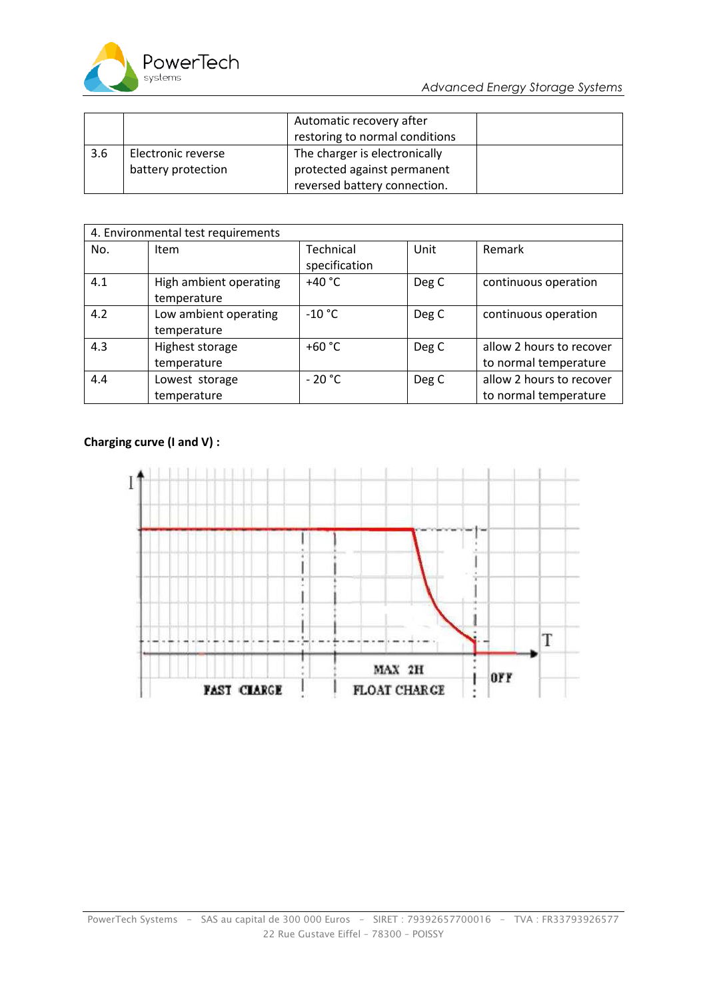

|     |                    | Automatic recovery after       |  |
|-----|--------------------|--------------------------------|--|
|     |                    | restoring to normal conditions |  |
| 3.6 | Electronic reverse | The charger is electronically  |  |
|     | battery protection | protected against permanent    |  |
|     |                    | reversed battery connection.   |  |

| 4. Environmental test requirements |                                       |                            |       |                                                   |
|------------------------------------|---------------------------------------|----------------------------|-------|---------------------------------------------------|
| No.                                | Item                                  | Technical<br>specification | Unit  | Remark                                            |
| 4.1                                | High ambient operating<br>temperature | +40 $^{\circ}$ C           | Deg C | continuous operation                              |
| 4.2                                | Low ambient operating<br>temperature  | $-10 °C$                   | Deg C | continuous operation                              |
| 4.3                                | Highest storage<br>temperature        | +60 $^{\circ}$ C           | Deg C | allow 2 hours to recover<br>to normal temperature |
| 4.4                                | Lowest storage<br>temperature         | $-20 °C$                   | Deg C | allow 2 hours to recover<br>to normal temperature |

## **Charging curve (I and V) :**